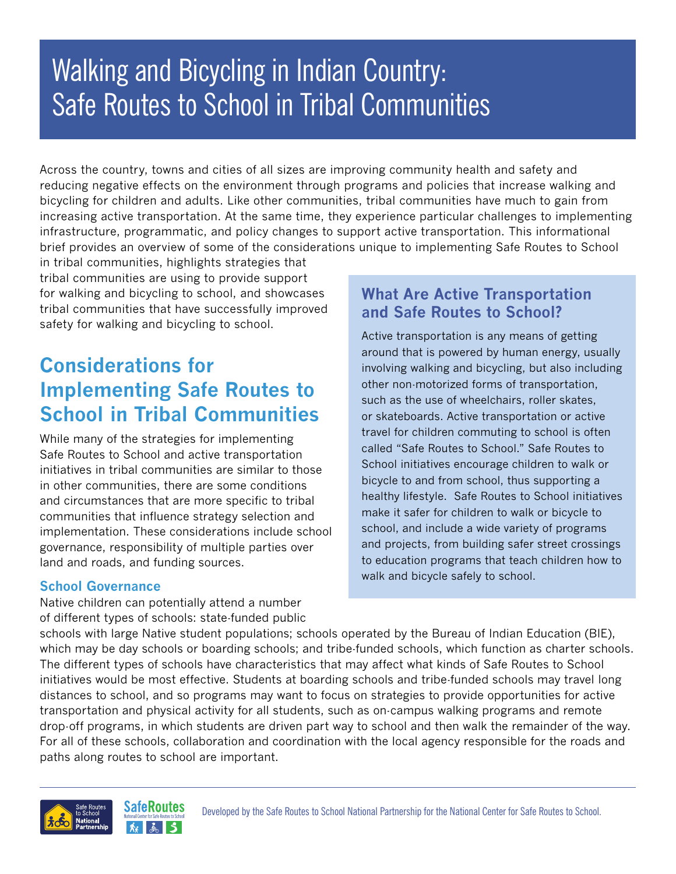# Walking and Bicycling in Indian Country: Safe Routes to School in Tribal Communities

Across the country, towns and cities of all sizes are improving community health and safety and reducing negative effects on the environment through programs and policies that increase walking and bicycling for children and adults. Like other communities, tribal communities have much to gain from increasing active transportation. At the same time, they experience particular challenges to implementing infrastructure, programmatic, and policy changes to support active transportation. This informational brief provides an overview of some of the considerations unique to implementing Safe Routes to School

in tribal communities, highlights strategies that tribal communities are using to provide support for walking and bicycling to school, and showcases tribal communities that have successfully improved safety for walking and bicycling to school.

# **Considerations for Implementing Safe Routes to School in Tribal Communities**

While many of the strategies for implementing Safe Routes to School and active transportation initiatives in tribal communities are similar to those in other communities, there are some conditions and circumstances that are more specific to tribal communities that influence strategy selection and implementation. These considerations include school governance, responsibility of multiple parties over land and roads, and funding sources.

### **School Governance**

Native children can potentially attend a number of different types of schools: state-funded public

### **What Are Active Transportation and Safe Routes to School?**

Active transportation is any means of getting around that is powered by human energy, usually involving walking and bicycling, but also including other non-motorized forms of transportation, such as the use of wheelchairs, roller skates, or skateboards. Active transportation or active travel for children commuting to school is often called "Safe Routes to School." Safe Routes to School initiatives encourage children to walk or bicycle to and from school, thus supporting a healthy lifestyle. Safe Routes to School initiatives make it safer for children to walk or bicycle to school, and include a wide variety of programs and projects, from building safer street crossings to education programs that teach children how to walk and bicycle safely to school.

schools with large Native student populations; schools operated by the Bureau of Indian Education (BIE), which may be day schools or boarding schools; and tribe-funded schools, which function as charter schools. The different types of schools have characteristics that may affect what kinds of Safe Routes to School initiatives would be most effective. Students at boarding schools and tribe-funded schools may travel long distances to school, and so programs may want to focus on strategies to provide opportunities for active transportation and physical activity for all students, such as on-campus walking programs and remote drop-off programs, in which students are driven part way to school and then walk the remainder of the way. For all of these schools, collaboration and coordination with the local agency responsible for the roads and paths along routes to school are important.

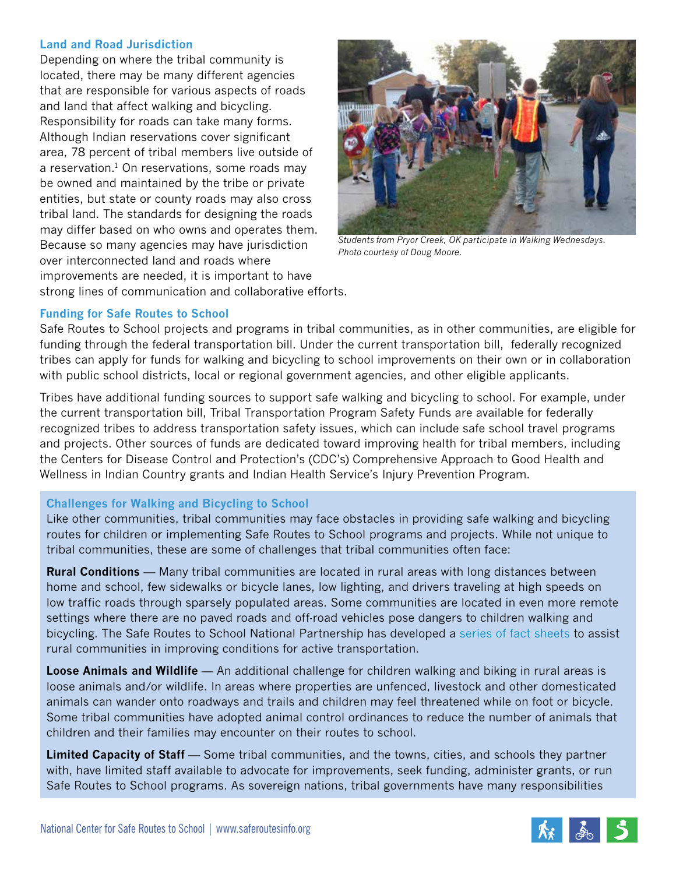### **Land and Road Jurisdiction**

Depending on where the tribal community is located, there may be many different agencies that are responsible for various aspects of roads and land that affect walking and bicycling. Responsibility for roads can take many forms. Although Indian reservations cover significant area, 78 percent of tribal members live outside of a reservation. $1$  On reservations, some roads may be owned and maintained by the tribe or private entities, but state or county roads may also cross tribal land. The standards for designing the roads may differ based on who owns and operates them. Because so many agencies may have jurisdiction over interconnected land and roads where improvements are needed, it is important to have strong lines of communication and collaborative efforts.



*Students from Pryor Creek, OK participate in Walking Wednesdays. Photo courtesy of Doug Moore.*

### **Funding for Safe Routes to School**

Safe Routes to School projects and programs in tribal communities, as in other communities, are eligible for funding through the federal transportation bill. Under the current transportation bill, federally recognized tribes can apply for funds for walking and bicycling to school improvements on their own or in collaboration with public school districts, local or regional government agencies, and other eligible applicants.

Tribes have additional funding sources to support safe walking and bicycling to school. For example, under the current transportation bill, Tribal Transportation Program Safety Funds are available for federally recognized tribes to address transportation safety issues, which can include safe school travel programs and projects. Other sources of funds are dedicated toward improving health for tribal members, including the Centers for Disease Control and Protection's (CDC's) Comprehensive Approach to Good Health and Wellness in Indian Country grants and Indian Health Service's Injury Prevention Program.

### **Challenges for Walking and Bicycling to School**

Like other communities, tribal communities may face obstacles in providing safe walking and bicycling routes for children or implementing Safe Routes to School programs and projects. While not unique to tribal communities, these are some of challenges that tribal communities often face:

**Rural Conditions** — Many tribal communities are located in rural areas with long distances between home and school, few sidewalks or bicycle lanes, low lighting, and drivers traveling at high speeds on low traffic roads through sparsely populated areas. Some communities are located in even more remote settings where there are no paved roads and off-road vehicles pose dangers to children walking and bicycling. The Safe Routes to School National Partnership has developed a series of fact sheets to assist rural communities in improving conditions for active transportation.

**Loose Animals and Wildlife** — An additional challenge for children walking and biking in rural areas is loose animals and/or wildlife. In areas where properties are unfenced, livestock and other domesticated animals can wander onto roadways and trails and children may feel threatened while on foot or bicycle. Some tribal communities have adopted animal control ordinances to reduce the number of animals that children and their families may encounter on their routes to school.

**Limited Capacity of Staff** — Some tribal communities, and the towns, cities, and schools they partner with, have limited staff available to advocate for improvements, seek funding, administer grants, or run Safe Routes to School programs. As sovereign nations, tribal governments have many responsibilities

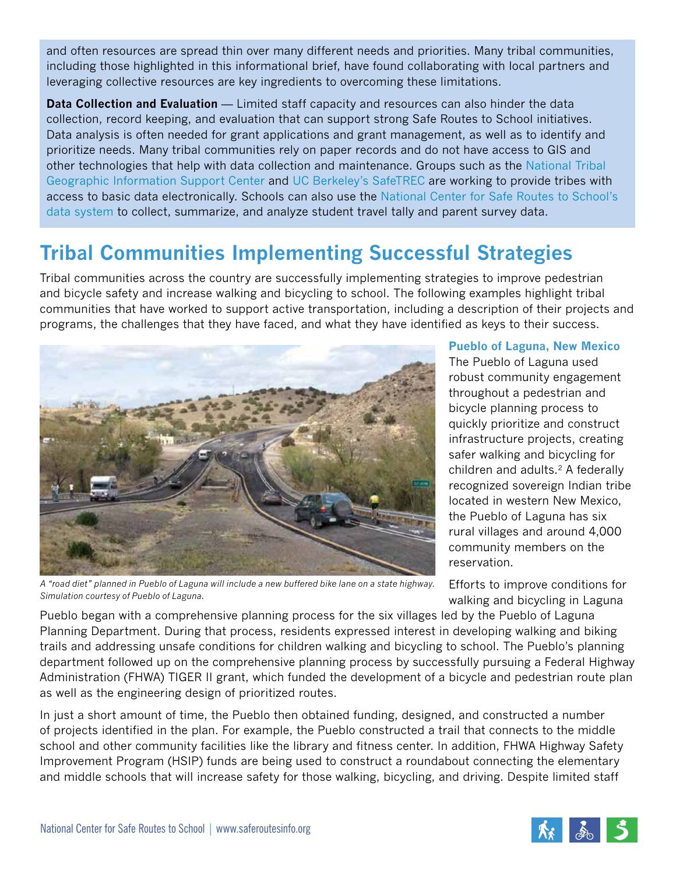and often resources are spread thin over many different needs and priorities. Many tribal communities, including those highlighted in this informational brief, have found collaborating with local partners and leveraging collective resources are key ingredients to overcoming these limitations.

**Data Collection and Evaluation** — Limited staff capacity and resources can also hinder the data collection, record keeping, and evaluation that can support strong Safe Routes to School initiatives. Data analysis is often needed for grant applications and grant management, as well as to identify and prioritize needs. Many tribal communities rely on paper records and do not have access to GIS and other technologies that help with data collection and maintenance. Groups such as the National Tribal Geographic Information Support Center and UC Berkeley's SafeTREC are working to provide tribes with access to basic data electronically. Schools can also use the National Center for Safe Routes to School's data system to collect, summarize, and analyze student travel tally and parent survey data.

# **Tribal Communities Implementing Successful Strategies**

Tribal communities across the country are successfully implementing strategies to improve pedestrian and bicycle safety and increase walking and bicycling to school. The following examples highlight tribal communities that have worked to support active transportation, including a description of their projects and programs, the challenges that they have faced, and what they have identified as keys to their success.



*A "road diet" planned in Pueblo of Laguna will include a new buffered bike lane on a state highway. Simulation courtesy of Pueblo of Laguna.*

**Pueblo of Laguna, New Mexico** The Pueblo of Laguna used robust community engagement throughout a pedestrian and bicycle planning process to quickly prioritize and construct infrastructure projects, creating safer walking and bicycling for children and adults.2 A federally recognized sovereign Indian tribe located in western New Mexico, the Pueblo of Laguna has six rural villages and around 4,000 community members on the reservation.

Efforts to improve conditions for walking and bicycling in Laguna

Pueblo began with a comprehensive planning process for the six villages led by the Pueblo of Laguna Planning Department. During that process, residents expressed interest in developing walking and biking trails and addressing unsafe conditions for children walking and bicycling to school. The Pueblo's planning department followed up on the comprehensive planning process by successfully pursuing a Federal Highway Administration (FHWA) TIGER II grant, which funded the development of a bicycle and pedestrian route plan as well as the engineering design of prioritized routes.

In just a short amount of time, the Pueblo then obtained funding, designed, and constructed a number of projects identified in the plan. For example, the Pueblo constructed a trail that connects to the middle school and other community facilities like the library and fitness center. In addition, FHWA Highway Safety Improvement Program (HSIP) funds are being used to construct a roundabout connecting the elementary and middle schools that will increase safety for those walking, bicycling, and driving. Despite limited staff

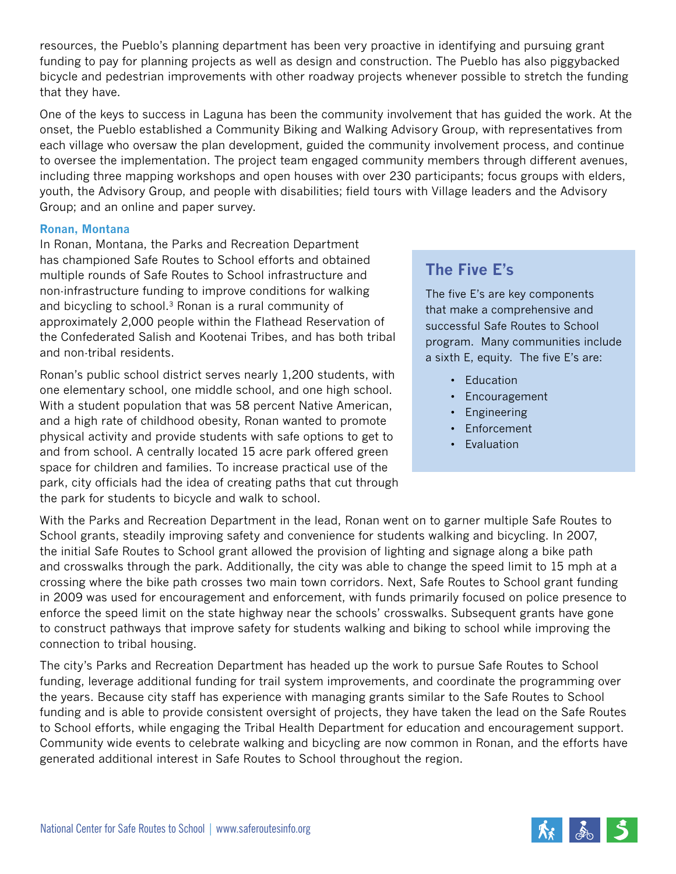resources, the Pueblo's planning department has been very proactive in identifying and pursuing grant funding to pay for planning projects as well as design and construction. The Pueblo has also piggybacked bicycle and pedestrian improvements with other roadway projects whenever possible to stretch the funding that they have.

One of the keys to success in Laguna has been the community involvement that has guided the work. At the onset, the Pueblo established a Community Biking and Walking Advisory Group, with representatives from each village who oversaw the plan development, guided the community involvement process, and continue to oversee the implementation. The project team engaged community members through different avenues, including three mapping workshops and open houses with over 230 participants; focus groups with elders, youth, the Advisory Group, and people with disabilities; field tours with Village leaders and the Advisory Group; and an online and paper survey.

#### **Ronan, Montana**

In Ronan, Montana, the Parks and Recreation Department has championed Safe Routes to School efforts and obtained multiple rounds of Safe Routes to School infrastructure and non-infrastructure funding to improve conditions for walking and bicycling to school. $3$  Ronan is a rural community of approximately 2,000 people within the Flathead Reservation of the Confederated Salish and Kootenai Tribes, and has both tribal and non-tribal residents.

Ronan's public school district serves nearly 1,200 students, with one elementary school, one middle school, and one high school. With a student population that was 58 percent Native American, and a high rate of childhood obesity, Ronan wanted to promote physical activity and provide students with safe options to get to and from school. A centrally located 15 acre park offered green space for children and families. To increase practical use of the park, city officials had the idea of creating paths that cut through the park for students to bicycle and walk to school.

### **The Five E's**

The five E's are key components that make a comprehensive and successful Safe Routes to School program. Many communities include a sixth E, equity. The five E's are:

- Education
- Encouragement
- Engineering
- Enforcement
- Evaluation

With the Parks and Recreation Department in the lead, Ronan went on to garner multiple Safe Routes to School grants, steadily improving safety and convenience for students walking and bicycling. In 2007, the initial Safe Routes to School grant allowed the provision of lighting and signage along a bike path and crosswalks through the park. Additionally, the city was able to change the speed limit to 15 mph at a crossing where the bike path crosses two main town corridors. Next, Safe Routes to School grant funding in 2009 was used for encouragement and enforcement, with funds primarily focused on police presence to enforce the speed limit on the state highway near the schools' crosswalks. Subsequent grants have gone to construct pathways that improve safety for students walking and biking to school while improving the connection to tribal housing.

The city's Parks and Recreation Department has headed up the work to pursue Safe Routes to School funding, leverage additional funding for trail system improvements, and coordinate the programming over the years. Because city staff has experience with managing grants similar to the Safe Routes to School funding and is able to provide consistent oversight of projects, they have taken the lead on the Safe Routes to School efforts, while engaging the Tribal Health Department for education and encouragement support. Community wide events to celebrate walking and bicycling are now common in Ronan, and the efforts have generated additional interest in Safe Routes to School throughout the region.

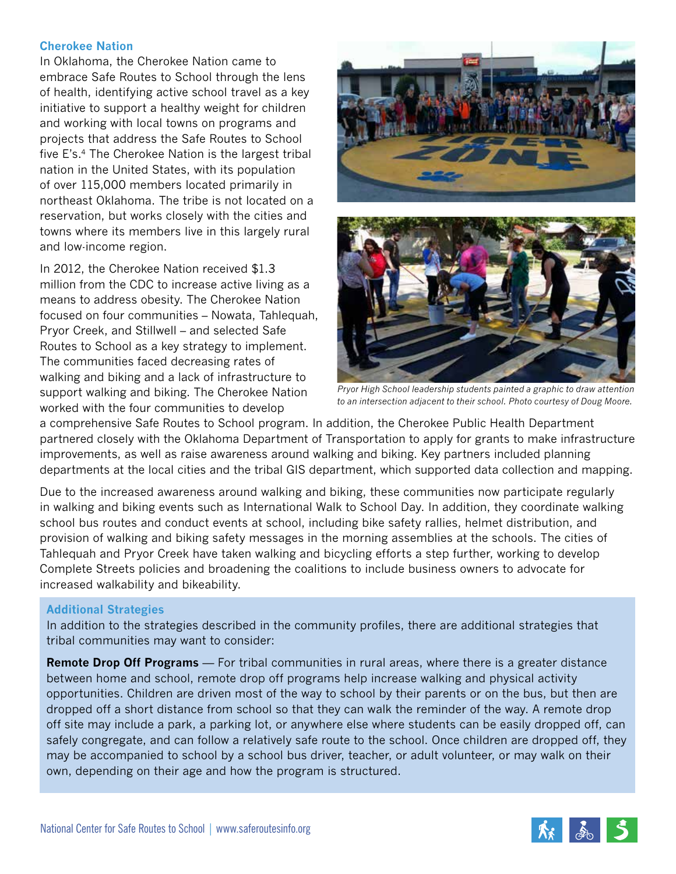### **Cherokee Nation**

In Oklahoma, the Cherokee Nation came to embrace Safe Routes to School through the lens of health, identifying active school travel as a key initiative to support a healthy weight for children and working with local towns on programs and projects that address the Safe Routes to School five E's.4 The Cherokee Nation is the largest tribal nation in the United States, with its population of over 115,000 members located primarily in northeast Oklahoma. The tribe is not located on a reservation, but works closely with the cities and towns where its members live in this largely rural and low-income region.

In 2012, the Cherokee Nation received \$1.3 million from the CDC to increase active living as a means to address obesity. The Cherokee Nation focused on four communities – Nowata, Tahlequah, Pryor Creek, and Stillwell – and selected Safe Routes to School as a key strategy to implement. The communities faced decreasing rates of walking and biking and a lack of infrastructure to support walking and biking. The Cherokee Nation worked with the four communities to develop





*Pryor High School leadership students painted a graphic to draw attention to an intersection adjacent to their school. Photo courtesy of Doug Moore.*

a comprehensive Safe Routes to School program. In addition, the Cherokee Public Health Department partnered closely with the Oklahoma Department of Transportation to apply for grants to make infrastructure improvements, as well as raise awareness around walking and biking. Key partners included planning departments at the local cities and the tribal GIS department, which supported data collection and mapping.

Due to the increased awareness around walking and biking, these communities now participate regularly in walking and biking events such as International Walk to School Day. In addition, they coordinate walking school bus routes and conduct events at school, including bike safety rallies, helmet distribution, and provision of walking and biking safety messages in the morning assemblies at the schools. The cities of Tahlequah and Pryor Creek have taken walking and bicycling efforts a step further, working to develop Complete Streets policies and broadening the coalitions to include business owners to advocate for increased walkability and bikeability.

### **Additional Strategies**

In addition to the strategies described in the community profiles, there are additional strategies that tribal communities may want to consider:

**Remote Drop Off Programs** — For tribal communities in rural areas, where there is a greater distance between home and school, remote drop off programs help increase walking and physical activity opportunities. Children are driven most of the way to school by their parents or on the bus, but then are dropped off a short distance from school so that they can walk the reminder of the way. A remote drop off site may include a park, a parking lot, or anywhere else where students can be easily dropped off, can safely congregate, and can follow a relatively safe route to the school. Once children are dropped off, they may be accompanied to school by a school bus driver, teacher, or adult volunteer, or may walk on their own, depending on their age and how the program is structured.